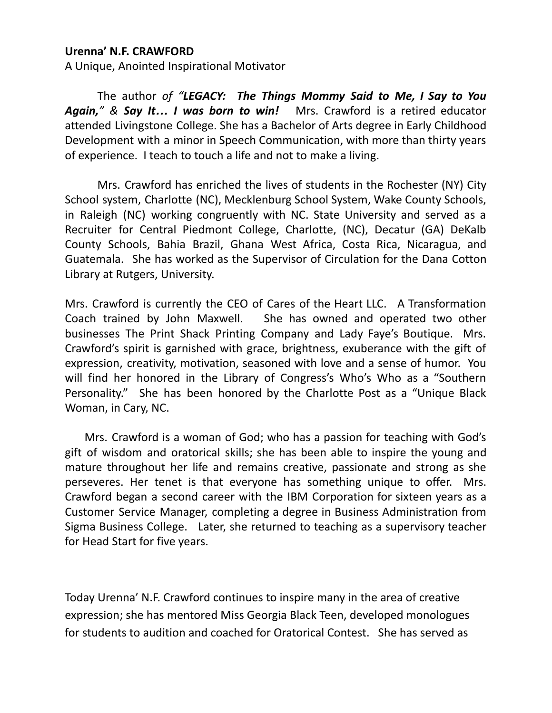## **Urenna' N.F. CRAWFORD**

A Unique, Anointed Inspirational Motivator

The author *of "LEGACY: The Things Mommy Said to Me, I Say to You Again," & Say It… I was born to win!* Mrs. Crawford is a retired educator attended Livingstone College. She has a Bachelor of Arts degree in Early Childhood Development with a minor in Speech Communication, with more than thirty years of experience. I teach to touch a life and not to make a living.

Mrs. Crawford has enriched the lives of students in the Rochester (NY) City School system, Charlotte (NC), Mecklenburg School System, Wake County Schools, in Raleigh (NC) working congruently with NC. State University and served as a Recruiter for Central Piedmont College, Charlotte, (NC), Decatur (GA) DeKalb County Schools, Bahia Brazil, Ghana West Africa, Costa Rica, Nicaragua, and Guatemala. She has worked as the Supervisor of Circulation for the Dana Cotton Library at Rutgers, University.

Mrs. Crawford is currently the CEO of Cares of the Heart LLC. A Transformation Coach trained by John Maxwell. She has owned and operated two other businesses The Print Shack Printing Company and Lady Faye's Boutique. Mrs. Crawford's spirit is garnished with grace, brightness, exuberance with the gift of expression, creativity, motivation, seasoned with love and a sense of humor. You will find her honored in the Library of Congress's Who's Who as a "Southern Personality." She has been honored by the Charlotte Post as a "Unique Black Woman, in Cary, NC.

Mrs. Crawford is a woman of God; who has a passion for teaching with God's gift of wisdom and oratorical skills; she has been able to inspire the young and mature throughout her life and remains creative, passionate and strong as she perseveres. Her tenet is that everyone has something unique to offer. Mrs. Crawford began a second career with the IBM Corporation for sixteen years as a Customer Service Manager, completing a degree in Business Administration from Sigma Business College. Later, she returned to teaching as a supervisory teacher for Head Start for five years.

Today Urenna' N.F. Crawford continues to inspire many in the area of creative expression; she has mentored Miss Georgia Black Teen, developed monologues for students to audition and coached for Oratorical Contest. She has served as